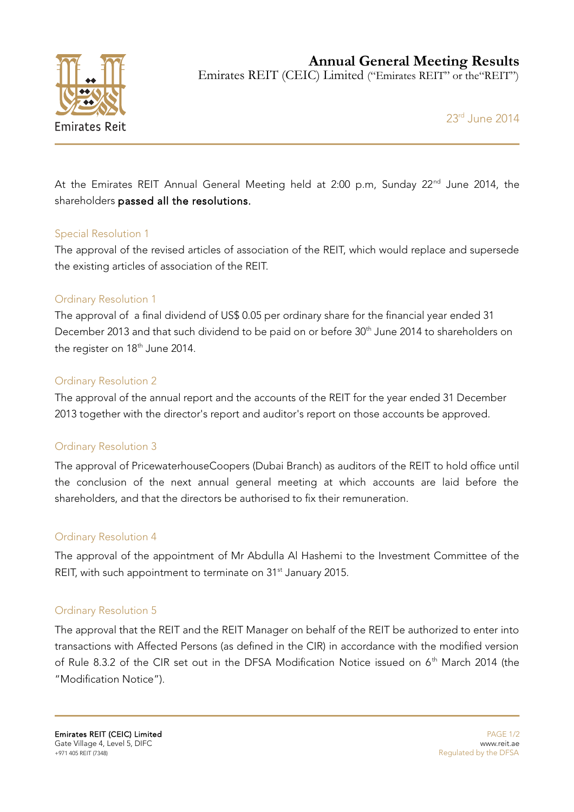

**Annual General Meeting Results**

Emirates REIT (CEIC) Limited ("Emirates REIT" or the"REIT")

23rd June 2014

At the Emirates REIT Annual General Meeting held at 2:00 p.m, Sunday 22<sup>nd</sup> June 2014, the shareholders passed all the resolutions.

## Special Resolution 1

The approval of the revised articles of association of the REIT, which would replace and supersede the existing articles of association of the REIT.

# Ordinary Resolution 1

The approval of a final dividend of US\$ 0.05 per ordinary share for the financial year ended 31 December 2013 and that such dividend to be paid on or before 30<sup>th</sup> June 2014 to shareholders on the register on 18<sup>th</sup> June 2014.

# Ordinary Resolution 2

The approval of the annual report and the accounts of the REIT for the year ended 31 December 2013 together with the director's report and auditor's report on those accounts be approved.

## Ordinary Resolution 3

The approval of PricewaterhouseCoopers (Dubai Branch) as auditors of the REIT to hold office until the conclusion of the next annual general meeting at which accounts are laid before the shareholders, and that the directors be authorised to fix their remuneration.

## Ordinary Resolution 4

The approval of the appointment of Mr Abdulla Al Hashemi to the Investment Committee of the REIT, with such appointment to terminate on 31<sup>st</sup> January 2015.

## Ordinary Resolution 5

The approval that the REIT and the REIT Manager on behalf of the REIT be authorized to enter into transactions with Affected Persons (as defined in the CIR) in accordance with the modified version of Rule 8.3.2 of the CIR set out in the DFSA Modification Notice issued on 6<sup>th</sup> March 2014 (the "Modification Notice").